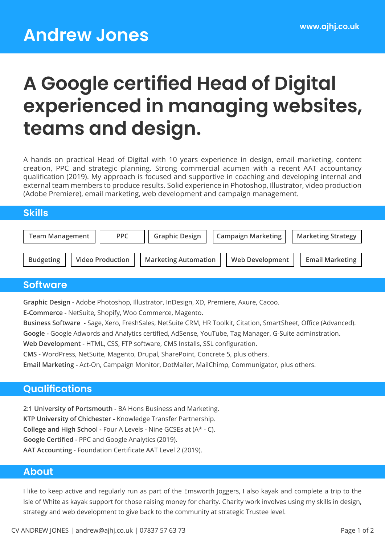# **A Google certified Head of Digital experienced in managing websites, teams and design.**

A hands on practical Head of Digital with 10 years experience in design, email marketing, content creation, PPC and strategic planning. Strong commercial acumen with a recent AAT accountancy qualification (2019). My approach is focused and supportive in coaching and developing internal and external team members to produce results. Solid experience in Photoshop, Illustrator, video production (Adobe Premiere), email marketing, web development and campaign management.

# **Skills**

| <b>Team Management</b> | <b>PPC</b>              | <b>Graphic Design</b>       | Campaign Marketing     | <b>Marketing Strategy</b> |
|------------------------|-------------------------|-----------------------------|------------------------|---------------------------|
| <b>Budgeting</b>       | <b>Video Production</b> | <b>Marketing Automation</b> | <b>Web Development</b> | <b>Email Marketing</b>    |

# **Software**

**Graphic Design -** Adobe Photoshop, Illustrator, InDesign, XD, Premiere, Axure, Cacoo.

**E-Commerce -** NetSuite, Shopify, Woo Commerce, Magento.

**Business Software -** Sage, Xero, FreshSales, NetSuite CRM, HR Toolkit, Citation, SmartSheet, Office (Advanced).

**Google -** Google Adwords and Analytics certified, AdSense, YouTube, Tag Manager, G-Suite adminstration.

**Web Development -** HTML, CSS, FTP software, CMS Installs, SSL configuration.

**CMS -** WordPress, NetSuite, Magento, Drupal, SharePoint, Concrete 5, plus others.

**Email Marketing -** Act-On, Campaign Monitor, DotMailer, MailChimp, Communigator, plus others.

# **Qualifications**

**2:1 University of Portsmouth -** BA Hons Business and Marketing. **KTP University of Chichester -** Knowledge Transfer Partnership. **College and High School -** Four A Levels - Nine GCSEs at (A\* - C). **Google Certified -** PPC and Google Analytics (2019). **AAT Accounting** - Foundation Certificate AAT Level 2 (2019).

### **About**

I like to keep active and regularly run as part of the Emsworth Joggers, I also kayak and complete a trip to the Isle of White as kayak support for those raising money for charity. Charity work involves using my skills in design, strategy and web development to give back to the community at strategic Trustee level.